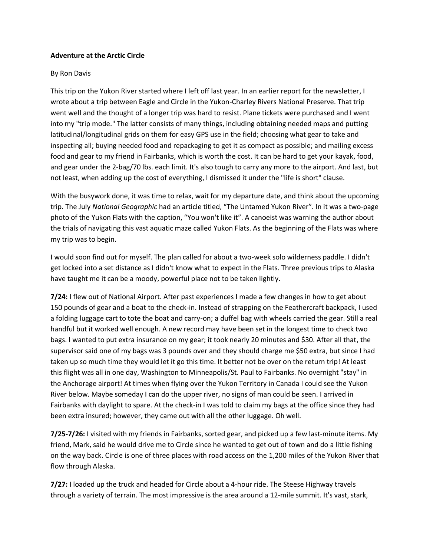## **Adventure at the Arctic Circle**

## By Ron Davis

This trip on the Yukon River started where I left off last year. In an earlier report for the newsletter, I wrote about a trip between Eagle and Circle in the Yukon-Charley Rivers National Preserve. That trip went well and the thought of a longer trip was hard to resist. Plane tickets were purchased and I went into my "trip mode." The latter consists of many things, including obtaining needed maps and putting latitudinal/longitudinal grids on them for easy GPS use in the field; choosing what gear to take and inspecting all; buying needed food and repackaging to get it as compact as possible; and mailing excess food and gear to my friend in Fairbanks, which is worth the cost. It can be hard to get your kayak, food, and gear under the 2-bag/70 lbs. each limit. It's also tough to carry any more to the airport. And last, but not least, when adding up the cost of everything, I dismissed it under the "life is short" clause.

With the busywork done, it was time to relax, wait for my departure date, and think about the upcoming trip. The July *National Geographic* had an article titled, "The Untamed Yukon River". In it was a two-page photo of the Yukon Flats with the caption, "You won't like it". A canoeist was warning the author about the trials of navigating this vast aquatic maze called Yukon Flats. As the beginning of the Flats was where my trip was to begin.

I would soon find out for myself. The plan called for about a two-week solo wilderness paddle. I didn't get locked into a set distance as I didn't know what to expect in the Flats. Three previous trips to Alaska have taught me it can be a moody, powerful place not to be taken lightly.

**7/24:** I flew out of National Airport. After past experiences I made a few changes in how to get about 150 pounds of gear and a boat to the check-in. Instead of strapping on the Feathercraft backpack, I used a folding luggage cart to tote the boat and carry-on; a duffel bag with wheels carried the gear. Still a real handful but it worked well enough. A new record may have been set in the longest time to check two bags. I wanted to put extra insurance on my gear; it took nearly 20 minutes and \$30. After all that, the supervisor said one of my bags was 3 pounds over and they should charge me \$50 extra, but since I had taken up so much time they would let it go this time. It better not be over on the return trip! At least this flight was all in one day, Washington to Minneapolis/St. Paul to Fairbanks. No overnight "stay" in the Anchorage airport! At times when flying over the Yukon Territory in Canada I could see the Yukon River below. Maybe someday I can do the upper river, no signs of man could be seen. I arrived in Fairbanks with daylight to spare. At the check-in I was told to claim my bags at the office since they had been extra insured; however, they came out with all the other luggage. Oh well.

**7/25-7/26:** I visited with my friends in Fairbanks, sorted gear, and picked up a few last-minute items. My friend, Mark, said he would drive me to Circle since he wanted to get out of town and do a little fishing on the way back. Circle is one of three places with road access on the 1,200 miles of the Yukon River that flow through Alaska.

**7/27:** I loaded up the truck and headed for Circle about a 4-hour ride. The Steese Highway travels through a variety of terrain. The most impressive is the area around a 12-mile summit. It's vast, stark,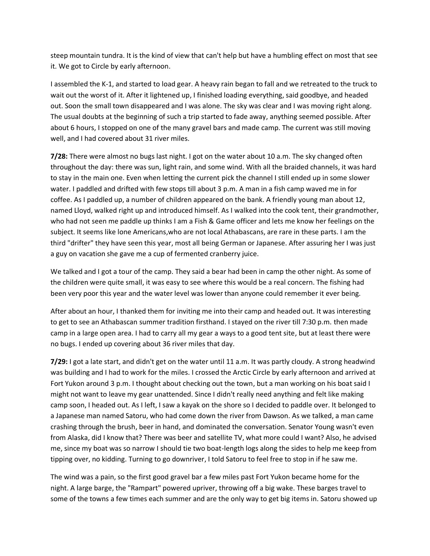steep mountain tundra. It is the kind of view that can't help but have a humbling effect on most that see it. We got to Circle by early afternoon.

I assembled the K-1, and started to load gear. A heavy rain began to fall and we retreated to the truck to wait out the worst of it. After it lightened up, I finished loading everything, said goodbye, and headed out. Soon the small town disappeared and I was alone. The sky was clear and I was moving right along. The usual doubts at the beginning of such a trip started to fade away, anything seemed possible. After about 6 hours, I stopped on one of the many gravel bars and made camp. The current was still moving well, and I had covered about 31 river miles.

**7/28:** There were almost no bugs last night. I got on the water about 10 a.m. The sky changed often throughout the day: there was sun, light rain, and some wind. With all the braided channels, it was hard to stay in the main one. Even when letting the current pick the channel I still ended up in some slower water. I paddled and drifted with few stops till about 3 p.m. A man in a fish camp waved me in for coffee. As I paddled up, a number of children appeared on the bank. A friendly young man about 12, named Lloyd, walked right up and introduced himself. As I walked into the cook tent, their grandmother, who had not seen me paddle up thinks I am a Fish & Game officer and lets me know her feelings on the subject. It seems like lone Americans,who are not local Athabascans, are rare in these parts. I am the third "drifter" they have seen this year, most all being German or Japanese. After assuring her I was just a guy on vacation she gave me a cup of fermented cranberry juice.

We talked and I got a tour of the camp. They said a bear had been in camp the other night. As some of the children were quite small, it was easy to see where this would be a real concern. The fishing had been very poor this year and the water level was lower than anyone could remember it ever being.

After about an hour, I thanked them for inviting me into their camp and headed out. It was interesting to get to see an Athabascan summer tradition firsthand. I stayed on the river till 7:30 p.m. then made camp in a large open area. I had to carry all my gear a ways to a good tent site, but at least there were no bugs. I ended up covering about 36 river miles that day.

**7/29:** I got a late start, and didn't get on the water until 11 a.m. It was partly cloudy. A strong headwind was building and I had to work for the miles. I crossed the Arctic Circle by early afternoon and arrived at Fort Yukon around 3 p.m. I thought about checking out the town, but a man working on his boat said I might not want to leave my gear unattended. Since I didn't really need anything and felt like making camp soon, I headed out. As I left, I saw a kayak on the shore so I decided to paddle over. It belonged to a Japanese man named Satoru, who had come down the river from Dawson. As we talked, a man came crashing through the brush, beer in hand, and dominated the conversation. Senator Young wasn't even from Alaska, did I know that? There was beer and satellite TV, what more could I want? Also, he advised me, since my boat was so narrow I should tie two boat-length logs along the sides to help me keep from tipping over, no kidding. Turning to go downriver, I told Satoru to feel free to stop in if he saw me.

The wind was a pain, so the first good gravel bar a few miles past Fort Yukon became home for the night. A large barge, the "Rampart" powered upriver, throwing off a big wake. These barges travel to some of the towns a few times each summer and are the only way to get big items in. Satoru showed up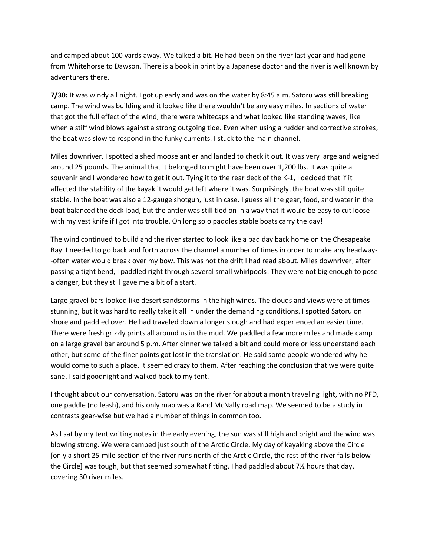and camped about 100 yards away. We talked a bit. He had been on the river last year and had gone from Whitehorse to Dawson. There is a book in print by a Japanese doctor and the river is well known by adventurers there.

**7/30:** It was windy all night. I got up early and was on the water by 8:45 a.m. Satoru was still breaking camp. The wind was building and it looked like there wouldn't be any easy miles. In sections of water that got the full effect of the wind, there were whitecaps and what looked like standing waves, like when a stiff wind blows against a strong outgoing tide. Even when using a rudder and corrective strokes, the boat was slow to respond in the funky currents. I stuck to the main channel.

Miles downriver, I spotted a shed moose antler and landed to check it out. It was very large and weighed around 25 pounds. The animal that it belonged to might have been over 1,200 lbs. It was quite a souvenir and I wondered how to get it out. Tying it to the rear deck of the K-1, I decided that if it affected the stability of the kayak it would get left where it was. Surprisingly, the boat was still quite stable. In the boat was also a 12-gauge shotgun, just in case. I guess all the gear, food, and water in the boat balanced the deck load, but the antler was still tied on in a way that it would be easy to cut loose with my vest knife if I got into trouble. On long solo paddles stable boats carry the day!

The wind continued to build and the river started to look like a bad day back home on the Chesapeake Bay. I needed to go back and forth across the channel a number of times in order to make any headway- -often water would break over my bow. This was not the drift I had read about. Miles downriver, after passing a tight bend, I paddled right through several small whirlpools! They were not big enough to pose a danger, but they still gave me a bit of a start.

Large gravel bars looked like desert sandstorms in the high winds. The clouds and views were at times stunning, but it was hard to really take it all in under the demanding conditions. I spotted Satoru on shore and paddled over. He had traveled down a longer slough and had experienced an easier time. There were fresh grizzly prints all around us in the mud. We paddled a few more miles and made camp on a large gravel bar around 5 p.m. After dinner we talked a bit and could more or less understand each other, but some of the finer points got lost in the translation. He said some people wondered why he would come to such a place, it seemed crazy to them. After reaching the conclusion that we were quite sane. I said goodnight and walked back to my tent.

I thought about our conversation. Satoru was on the river for about a month traveling light, with no PFD, one paddle (no leash), and his only map was a Rand McNally road map. We seemed to be a study in contrasts gear-wise but we had a number of things in common too.

As I sat by my tent writing notes in the early evening, the sun was still high and bright and the wind was blowing strong. We were camped just south of the Arctic Circle. My day of kayaking above the Circle [only a short 25-mile section of the river runs north of the Arctic Circle, the rest of the river falls below the Circle] was tough, but that seemed somewhat fitting. I had paddled about 7½ hours that day, covering 30 river miles.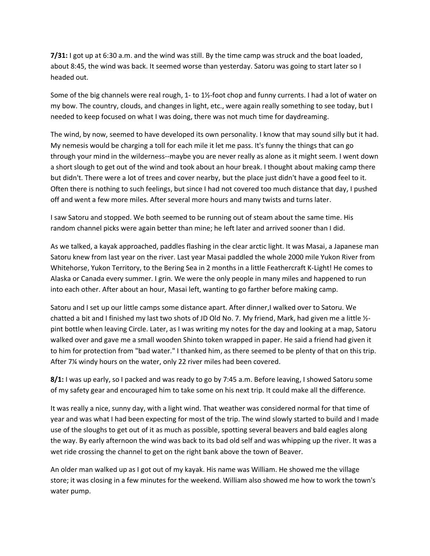**7/31:** I got up at 6:30 a.m. and the wind was still. By the time camp was struck and the boat loaded, about 8:45, the wind was back. It seemed worse than yesterday. Satoru was going to start later so I headed out.

Some of the big channels were real rough, 1- to 1½-foot chop and funny currents. I had a lot of water on my bow. The country, clouds, and changes in light, etc., were again really something to see today, but I needed to keep focused on what I was doing, there was not much time for daydreaming.

The wind, by now, seemed to have developed its own personality. I know that may sound silly but it had. My nemesis would be charging a toll for each mile it let me pass. It's funny the things that can go through your mind in the wilderness--maybe you are never really as alone as it might seem. I went down a short slough to get out of the wind and took about an hour break. I thought about making camp there but didn't. There were a lot of trees and cover nearby, but the place just didn't have a good feel to it. Often there is nothing to such feelings, but since I had not covered too much distance that day, I pushed off and went a few more miles. After several more hours and many twists and turns later.

I saw Satoru and stopped. We both seemed to be running out of steam about the same time. His random channel picks were again better than mine; he left later and arrived sooner than I did.

As we talked, a kayak approached, paddles flashing in the clear arctic light. It was Masai, a Japanese man Satoru knew from last year on the river. Last year Masai paddled the whole 2000 mile Yukon River from Whitehorse, Yukon Territory, to the Bering Sea in 2 months in a little Feathercraft K-Light! He comes to Alaska or Canada every summer. I grin. We were the only people in many miles and happened to run into each other. After about an hour, Masai left, wanting to go farther before making camp.

Satoru and I set up our little camps some distance apart. After dinner,I walked over to Satoru. We chatted a bit and I finished my last two shots of JD Old No. 7. My friend, Mark, had given me a little ½ pint bottle when leaving Circle. Later, as I was writing my notes for the day and looking at a map, Satoru walked over and gave me a small wooden Shinto token wrapped in paper. He said a friend had given it to him for protection from "bad water." I thanked him, as there seemed to be plenty of that on this trip. After 7¼ windy hours on the water, only 22 river miles had been covered.

**8/1:** I was up early, so I packed and was ready to go by 7:45 a.m. Before leaving, I showed Satoru some of my safety gear and encouraged him to take some on his next trip. It could make all the difference.

It was really a nice, sunny day, with a light wind. That weather was considered normal for that time of year and was what I had been expecting for most of the trip. The wind slowly started to build and I made use of the sloughs to get out of it as much as possible, spotting several beavers and bald eagles along the way. By early afternoon the wind was back to its bad old self and was whipping up the river. It was a wet ride crossing the channel to get on the right bank above the town of Beaver.

An older man walked up as I got out of my kayak. His name was William. He showed me the village store; it was closing in a few minutes for the weekend. William also showed me how to work the town's water pump.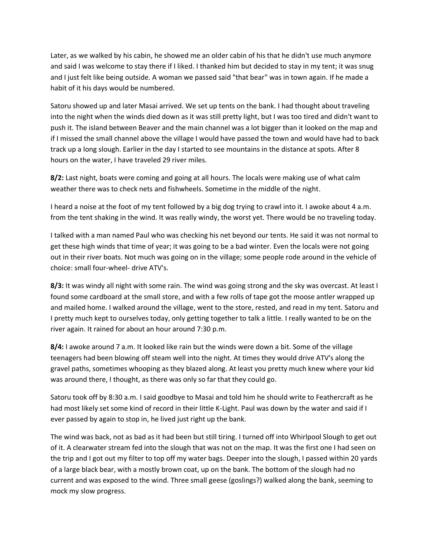Later, as we walked by his cabin, he showed me an older cabin of his that he didn't use much anymore and said I was welcome to stay there if I liked. I thanked him but decided to stay in my tent; it was snug and I just felt like being outside. A woman we passed said "that bear" was in town again. If he made a habit of it his days would be numbered.

Satoru showed up and later Masai arrived. We set up tents on the bank. I had thought about traveling into the night when the winds died down as it was still pretty light, but I was too tired and didn't want to push it. The island between Beaver and the main channel was a lot bigger than it looked on the map and if I missed the small channel above the village I would have passed the town and would have had to back track up a long slough. Earlier in the day I started to see mountains in the distance at spots. After 8 hours on the water, I have traveled 29 river miles.

**8/2:** Last night, boats were coming and going at all hours. The locals were making use of what calm weather there was to check nets and fishwheels. Sometime in the middle of the night.

I heard a noise at the foot of my tent followed by a big dog trying to crawl into it. I awoke about 4 a.m. from the tent shaking in the wind. It was really windy, the worst yet. There would be no traveling today.

I talked with a man named Paul who was checking his net beyond our tents. He said it was not normal to get these high winds that time of year; it was going to be a bad winter. Even the locals were not going out in their river boats. Not much was going on in the village; some people rode around in the vehicle of choice: small four-wheel- drive ATV's.

**8/3:** It was windy all night with some rain. The wind was going strong and the sky was overcast. At least I found some cardboard at the small store, and with a few rolls of tape got the moose antler wrapped up and mailed home. I walked around the village, went to the store, rested, and read in my tent. Satoru and I pretty much kept to ourselves today, only getting together to talk a little. I really wanted to be on the river again. It rained for about an hour around 7:30 p.m.

**8/4:** I awoke around 7 a.m. It looked like rain but the winds were down a bit. Some of the village teenagers had been blowing off steam well into the night. At times they would drive ATV's along the gravel paths, sometimes whooping as they blazed along. At least you pretty much knew where your kid was around there, I thought, as there was only so far that they could go.

Satoru took off by 8:30 a.m. I said goodbye to Masai and told him he should write to Feathercraft as he had most likely set some kind of record in their little K-Light. Paul was down by the water and said if I ever passed by again to stop in, he lived just right up the bank.

The wind was back, not as bad as it had been but still tiring. I turned off into Whirlpool Slough to get out of it. A clearwater stream fed into the slough that was not on the map. It was the first one I had seen on the trip and I got out my filter to top off my water bags. Deeper into the slough, I passed within 20 yards of a large black bear, with a mostly brown coat, up on the bank. The bottom of the slough had no current and was exposed to the wind. Three small geese (goslings?) walked along the bank, seeming to mock my slow progress.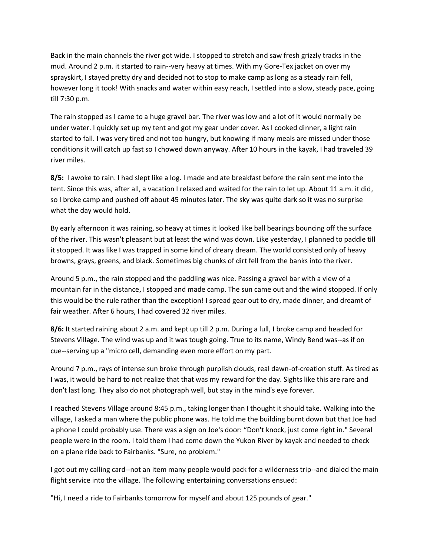Back in the main channels the river got wide. I stopped to stretch and saw fresh grizzly tracks in the mud. Around 2 p.m. it started to rain--very heavy at times. With my Gore-Tex jacket on over my sprayskirt, I stayed pretty dry and decided not to stop to make camp as long as a steady rain fell, however long it took! With snacks and water within easy reach, I settled into a slow, steady pace, going till 7:30 p.m.

The rain stopped as I came to a huge gravel bar. The river was low and a lot of it would normally be under water. I quickly set up my tent and got my gear under cover. As I cooked dinner, a light rain started to fall. I was very tired and not too hungry, but knowing if many meals are missed under those conditions it will catch up fast so I chowed down anyway. After 10 hours in the kayak, I had traveled 39 river miles.

**8/5:** I awoke to rain. I had slept like a log. I made and ate breakfast before the rain sent me into the tent. Since this was, after all, a vacation I relaxed and waited for the rain to let up. About 11 a.m. it did, so I broke camp and pushed off about 45 minutes later. The sky was quite dark so it was no surprise what the day would hold.

By early afternoon it was raining, so heavy at times it looked like ball bearings bouncing off the surface of the river. This wasn't pleasant but at least the wind was down. Like yesterday, I planned to paddle till it stopped. It was like I was trapped in some kind of dreary dream. The world consisted only of heavy browns, grays, greens, and black. Sometimes big chunks of dirt fell from the banks into the river.

Around 5 p.m., the rain stopped and the paddling was nice. Passing a gravel bar with a view of a mountain far in the distance, I stopped and made camp. The sun came out and the wind stopped. If only this would be the rule rather than the exception! I spread gear out to dry, made dinner, and dreamt of fair weather. After 6 hours, I had covered 32 river miles.

**8/6:** It started raining about 2 a.m. and kept up till 2 p.m. During a lull, I broke camp and headed for Stevens Village. The wind was up and it was tough going. True to its name, Windy Bend was--as if on cue--serving up a "micro cell, demanding even more effort on my part.

Around 7 p.m., rays of intense sun broke through purplish clouds, real dawn-of-creation stuff. As tired as I was, it would be hard to not realize that that was my reward for the day. Sights like this are rare and don't last long. They also do not photograph well, but stay in the mind's eye forever.

I reached Stevens Village around 8:45 p.m., taking longer than I thought it should take. Walking into the village, I asked a man where the public phone was. He told me the building burnt down but that Joe had a phone I could probably use. There was a sign on Joe's door: "Don't knock, just come right in." Several people were in the room. I told them I had come down the Yukon River by kayak and needed to check on a plane ride back to Fairbanks. "Sure, no problem."

I got out my calling card--not an item many people would pack for a wilderness trip--and dialed the main flight service into the village. The following entertaining conversations ensued:

"Hi, I need a ride to Fairbanks tomorrow for myself and about 125 pounds of gear."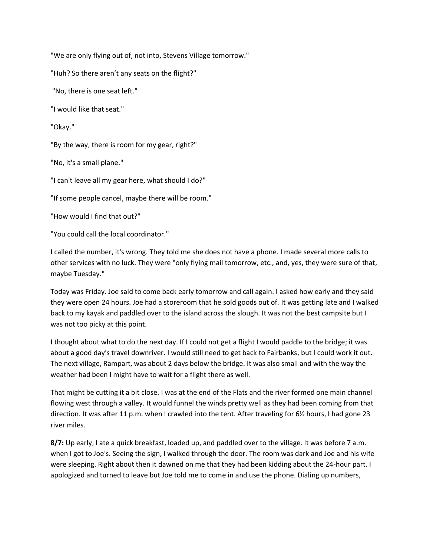"We are only flying out of, not into, Stevens Village tomorrow."

"Huh? So there aren't any seats on the flight?"

"No, there is one seat left."

"I would like that seat."

"Okay."

"By the way, there is room for my gear, right?"

"No, it's a small plane."

"I can't leave all my gear here, what should I do?"

"If some people cancel, maybe there will be room."

"How would I find that out?"

"You could call the local coordinator."

I called the number, it's wrong. They told me she does not have a phone. I made several more calls to other services with no luck. They were "only flying mail tomorrow, etc., and, yes, they were sure of that, maybe Tuesday."

Today was Friday. Joe said to come back early tomorrow and call again. I asked how early and they said they were open 24 hours. Joe had a storeroom that he sold goods out of. It was getting late and I walked back to my kayak and paddled over to the island across the slough. It was not the best campsite but I was not too picky at this point.

I thought about what to do the next day. If I could not get a flight I would paddle to the bridge; it was about a good day's travel downriver. I would still need to get back to Fairbanks, but I could work it out. The next village, Rampart, was about 2 days below the bridge. It was also small and with the way the weather had been I might have to wait for a flight there as well.

That might be cutting it a bit close. I was at the end of the Flats and the river formed one main channel flowing west through a valley. It would funnel the winds pretty well as they had been coming from that direction. It was after 11 p.m. when I crawled into the tent. After traveling for 6½ hours, I had gone 23 river miles.

**8/7:** Up early, I ate a quick breakfast, loaded up, and paddled over to the village. It was before 7 a.m. when I got to Joe's. Seeing the sign, I walked through the door. The room was dark and Joe and his wife were sleeping. Right about then it dawned on me that they had been kidding about the 24-hour part. I apologized and turned to leave but Joe told me to come in and use the phone. Dialing up numbers,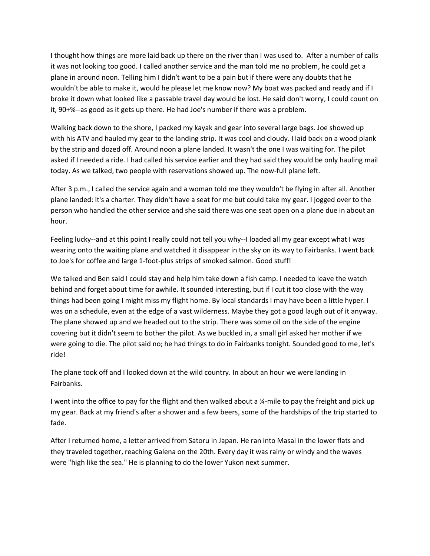I thought how things are more laid back up there on the river than I was used to. After a number of calls it was not looking too good. I called another service and the man told me no problem, he could get a plane in around noon. Telling him I didn't want to be a pain but if there were any doubts that he wouldn't be able to make it, would he please let me know now? My boat was packed and ready and if I broke it down what looked like a passable travel day would be lost. He said don't worry, I could count on it, 90+%--as good as it gets up there. He had Joe's number if there was a problem.

Walking back down to the shore, I packed my kayak and gear into several large bags. Joe showed up with his ATV and hauled my gear to the landing strip. It was cool and cloudy. I laid back on a wood plank by the strip and dozed off. Around noon a plane landed. It wasn't the one I was waiting for. The pilot asked if I needed a ride. I had called his service earlier and they had said they would be only hauling mail today. As we talked, two people with reservations showed up. The now-full plane left.

After 3 p.m., I called the service again and a woman told me they wouldn't be flying in after all. Another plane landed: it's a charter. They didn't have a seat for me but could take my gear. I jogged over to the person who handled the other service and she said there was one seat open on a plane due in about an hour.

Feeling lucky--and at this point I really could not tell you why--I loaded all my gear except what I was wearing onto the waiting plane and watched it disappear in the sky on its way to Fairbanks. I went back to Joe's for coffee and large 1-foot-plus strips of smoked salmon. Good stuff!

We talked and Ben said I could stay and help him take down a fish camp. I needed to leave the watch behind and forget about time for awhile. It sounded interesting, but if I cut it too close with the way things had been going I might miss my flight home. By local standards I may have been a little hyper. I was on a schedule, even at the edge of a vast wilderness. Maybe they got a good laugh out of it anyway. The plane showed up and we headed out to the strip. There was some oil on the side of the engine covering but it didn't seem to bother the pilot. As we buckled in, a small girl asked her mother if we were going to die. The pilot said no; he had things to do in Fairbanks tonight. Sounded good to me, let's ride!

The plane took off and I looked down at the wild country. In about an hour we were landing in Fairbanks.

I went into the office to pay for the flight and then walked about a ¼-mile to pay the freight and pick up my gear. Back at my friend's after a shower and a few beers, some of the hardships of the trip started to fade.

After I returned home, a letter arrived from Satoru in Japan. He ran into Masai in the lower flats and they traveled together, reaching Galena on the 20th. Every day it was rainy or windy and the waves were "high like the sea." He is planning to do the lower Yukon next summer.